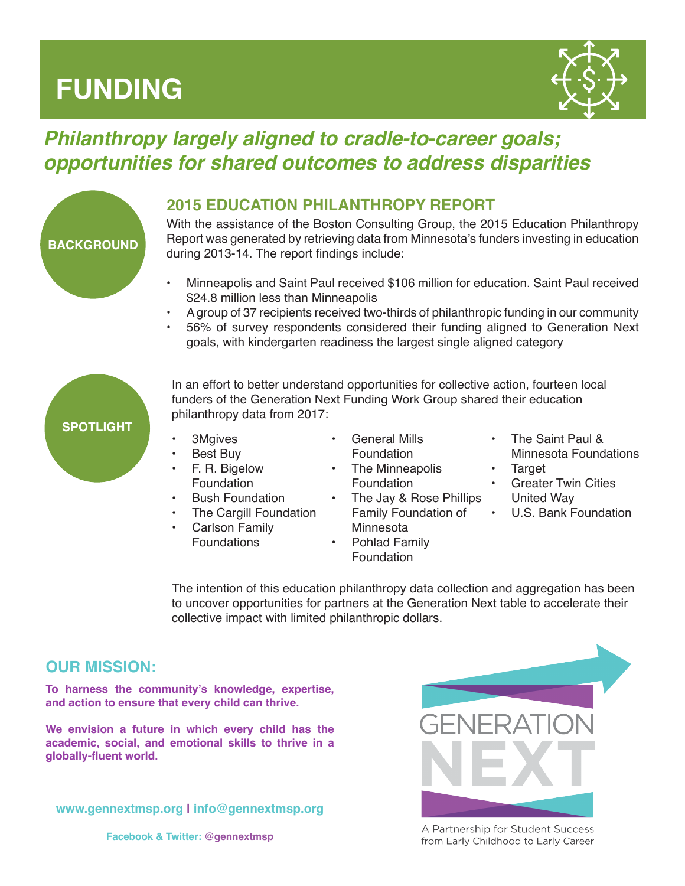# **FUNDING**



# *Philanthropy largely aligned to cradle-to-career goals; opportunities for shared outcomes to address disparities*



# **2015 EDUCATION PHILANTHROPY REPORT**

With the assistance of the Boston Consulting Group, the 2015 Education Philanthropy Report was generated by retrieving data from Minnesota's funders investing in education during 2013-14. The report findings include:

- Minneapolis and Saint Paul received \$106 million for education. Saint Paul received \$24.8 million less than Minneapolis
- A group of 37 recipients received two-thirds of philanthropic funding in our community
- 56% of survey respondents considered their funding aligned to Generation Next goals, with kindergarten readiness the largest single aligned category



In an effort to better understand opportunities for collective action, fourteen local funders of the Generation Next Funding Work Group shared their education philanthropy data from 2017:

- 3Mgives
- Best Buy
- F. R. Bigelow Foundation
- **Bush Foundation**
- The Cargill Foundation
- Carlson Family Foundations
- General Mills Foundation
- The Minneapolis Foundation
- The Jay & Rose Phillips Family Foundation of • U.S. Bank Foundation **Minnesota**
- Pohlad Family Foundation
- The Saint Paul & Minnesota Foundations
- **Target**
- **Greater Twin Cities** United Way
- 

The intention of this education philanthropy data collection and aggregation has been to uncover opportunities for partners at the Generation Next table to accelerate their collective impact with limited philanthropic dollars.

# **OUR MISSION:**

**To harness the community's knowledge, expertise, and action to ensure that every child can thrive.** 

**We envision a future in which every child has the academic, social, and emotional skills to thrive in a globally-fluent world.**

**www.gennextmsp.org | info@gennextmsp.org**



A Partnership for Student Success from Early Childhood to Early Career

**Facebook & Twitter: @gennextmsp**